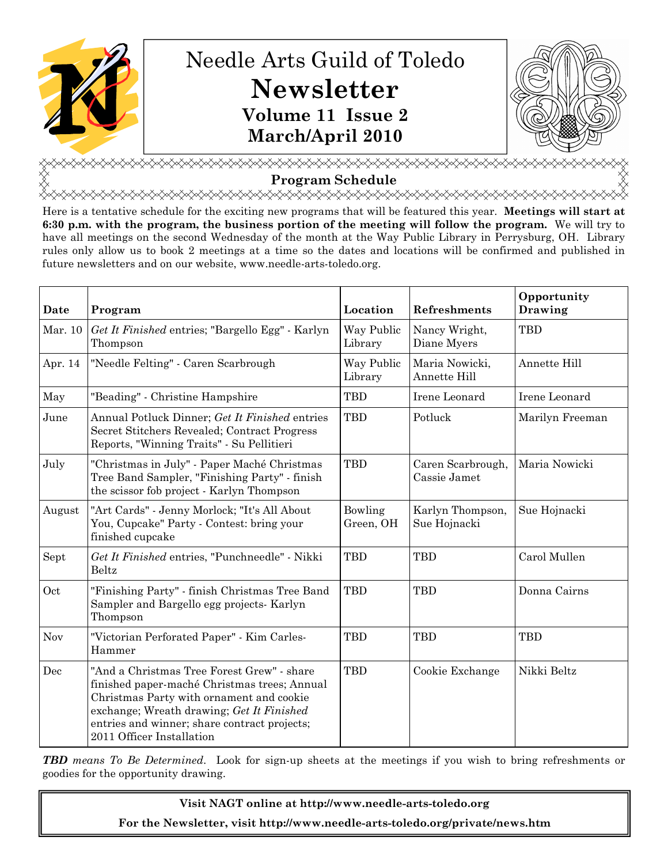



<u></u> Program Schedule

<del></del>

Here is a tentative schedule for the exciting new programs that will be featured this year. Meetings will start at 6:30 p.m. with the program, the business portion of the meeting will follow the program. We will try to have all meetings on the second Wednesday of the month at the Way Public Library in Perrysburg, OH. Library rules only allow us to book 2 meetings at a time so the dates and locations will be confirmed and published in future newsletters and on our website, www.needle-arts-toledo.org.

| Date       | Program                                                                                                                                                                                                                                                          | Location              | Refreshments                      | Opportunity<br>Drawing |
|------------|------------------------------------------------------------------------------------------------------------------------------------------------------------------------------------------------------------------------------------------------------------------|-----------------------|-----------------------------------|------------------------|
| Mar. 10    | Get It Finished entries; "Bargello Egg" - Karlyn<br>Thompson                                                                                                                                                                                                     | Way Public<br>Library | Nancy Wright,<br>Diane Myers      | <b>TBD</b>             |
| Apr. 14    | "Needle Felting" - Caren Scarbrough                                                                                                                                                                                                                              | Way Public<br>Library | Maria Nowicki,<br>Annette Hill    | Annette Hill           |
| May        | "Beading" - Christine Hampshire                                                                                                                                                                                                                                  | <b>TBD</b>            | Irene Leonard                     | Irene Leonard          |
| June       | Annual Potluck Dinner; Get It Finished entries<br>Secret Stitchers Revealed; Contract Progress<br>Reports, "Winning Traits" - Su Pellitieri                                                                                                                      | <b>TBD</b>            | Potluck                           | Marilyn Freeman        |
| July       | "Christmas in July" - Paper Maché Christmas<br>Tree Band Sampler, "Finishing Party" - finish<br>the scissor fob project - Karlyn Thompson                                                                                                                        | <b>TBD</b>            | Caren Scarbrough,<br>Cassie Jamet | Maria Nowicki          |
| August     | "Art Cards" - Jenny Morlock; "It's All About<br>You, Cupcake" Party - Contest: bring your<br>finished cupcake                                                                                                                                                    | Bowling<br>Green, OH  | Karlyn Thompson,<br>Sue Hojnacki  | Sue Hojnacki           |
| Sept       | Get It Finished entries, "Punchneedle" - Nikki<br>Beltz                                                                                                                                                                                                          | <b>TBD</b>            | <b>TBD</b>                        | Carol Mullen           |
| Oct        | "Finishing Party" - finish Christmas Tree Band<br>Sampler and Bargello egg projects- Karlyn<br>Thompson                                                                                                                                                          | <b>TBD</b>            | <b>TBD</b>                        | Donna Cairns           |
| <b>Nov</b> | "Victorian Perforated Paper" - Kim Carles-<br>Hammer                                                                                                                                                                                                             | <b>TBD</b>            | <b>TBD</b>                        | <b>TBD</b>             |
| Dec        | "And a Christmas Tree Forest Grew" - share<br>finished paper-maché Christmas trees; Annual<br>Christmas Party with ornament and cookie<br>exchange; Wreath drawing; Get It Finished<br>entries and winner; share contract projects;<br>2011 Officer Installation | <b>TBD</b>            | Cookie Exchange                   | Nikki Beltz            |

**TBD** means To Be Determined. Look for sign-up sheets at the meetings if you wish to bring refreshments or goodies for the opportunity drawing.

> Visit NAGT online at http://www.needle-arts-toledo.org For the Newsletter, visit http://www.needle-arts-toledo.org/private/news.htm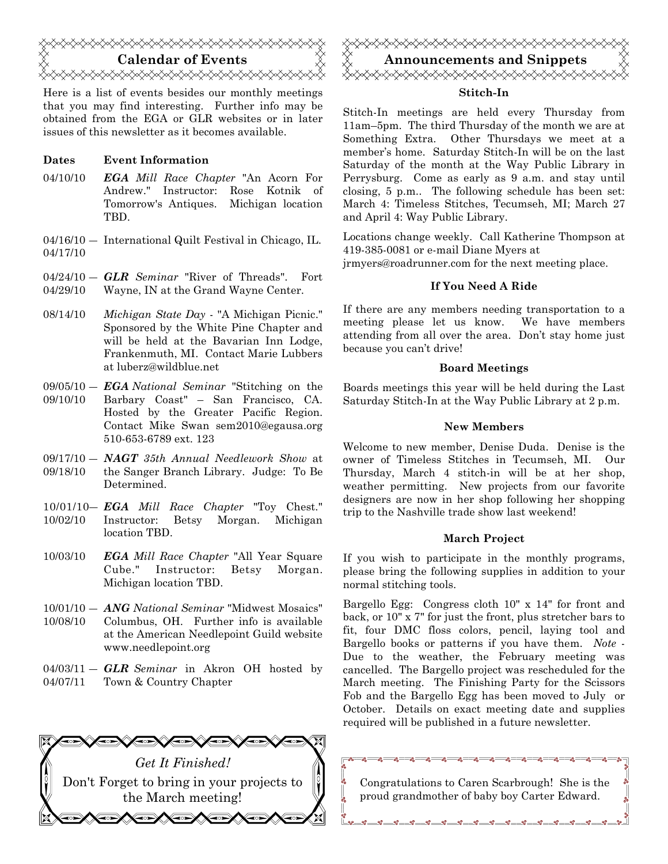

Here is a list of events besides our monthly meetings that you may find interesting. Further info may be obtained from the EGA or GLR websites or in later issues of this newsletter as it becomes available.

# Dates Event Information

- 04/10/10 **EGA** Mill Race Chapter "An Acorn For Andrew." Instructor: Rose Kotnik of Tomorrow's Antiques. Michigan location TBD.
- 04/16/10 ― International Quilt Festival in Chicago, IL. 04/17/10
- $04/24/10 GLR$  Seminar "River of Threads". Fort 04/29/10 Wayne, IN at the Grand Wayne Center.
- 08/14/10 Michigan State Day "A Michigan Picnic." Sponsored by the White Pine Chapter and will be held at the Bavarian Inn Lodge, Frankenmuth, MI. Contact Marie Lubbers at luberz@wildblue.net
- $09/05/10 EGA National\quad$  "Stitching on the 09/10/10 Barbary Coast" – San Francisco, CA. Hosted by the Greater Pacific Region. Contact Mike Swan sem2010@egausa.org 510-653-6789 ext. 123
- $09/17/10 NAGT$  35th Annual Needlework Show at 09/18/10 the Sanger Branch Library. Judge: To Be Determined.
- 10/01/10- EGA Mill Race Chapter "Toy Chest." 10/02/10 Instructor: Betsy Morgan. Michigan location TBD.
- 10/03/10 EGA Mill Race Chapter "All Year Square Cube." Instructor: Betsy Morgan. Michigan location TBD.
- 10/01/10 ANG National Seminar "Midwest Mosaics" 10/08/10 Columbus, OH. Further info is available at the American Needlepoint Guild website www.needlepoint.org
- $04/03/11 GLR$  Seminar in Akron OH hosted by 04/07/11 Town & Country Chapter





# Stitch-In

Stitch-In meetings are held every Thursday from 11am–5pm. The third Thursday of the month we are at Something Extra. Other Thursdays we meet at a member's home. Saturday Stitch-In will be on the last Saturday of the month at the Way Public Library in Perrysburg. Come as early as 9 a.m. and stay until closing, 5 p.m.. The following schedule has been set: March 4: Timeless Stitches, Tecumseh, MI; March 27 and April 4: Way Public Library.

Locations change weekly. Call Katherine Thompson at 419-385-0081 or e-mail Diane Myers at jrmyers@roadrunner.com for the next meeting place.

# If You Need A Ride

If there are any members needing transportation to a meeting please let us know. We have members attending from all over the area. Don't stay home just because you can't drive!

#### Board Meetings

Boards meetings this year will be held during the Last Saturday Stitch-In at the Way Public Library at 2 p.m.

### New Members

Welcome to new member, Denise Duda. Denise is the owner of Timeless Stitches in Tecumseh, MI. Our Thursday, March 4 stitch-in will be at her shop, weather permitting. New projects from our favorite designers are now in her shop following her shopping trip to the Nashville trade show last weekend!

#### March Project

If you wish to participate in the monthly programs, please bring the following supplies in addition to your normal stitching tools.

Bargello Egg: Congress cloth 10" x 14" for front and back, or 10" x 7" for just the front, plus stretcher bars to fit, four DMC floss colors, pencil, laying tool and Bargello books or patterns if you have them. Note - Due to the weather, the February meeting was cancelled. The Bargello project was rescheduled for the March meeting. The Finishing Party for the Scissors Fob and the Bargello Egg has been moved to July or October. Details on exact meeting date and supplies required will be published in a future newsletter.

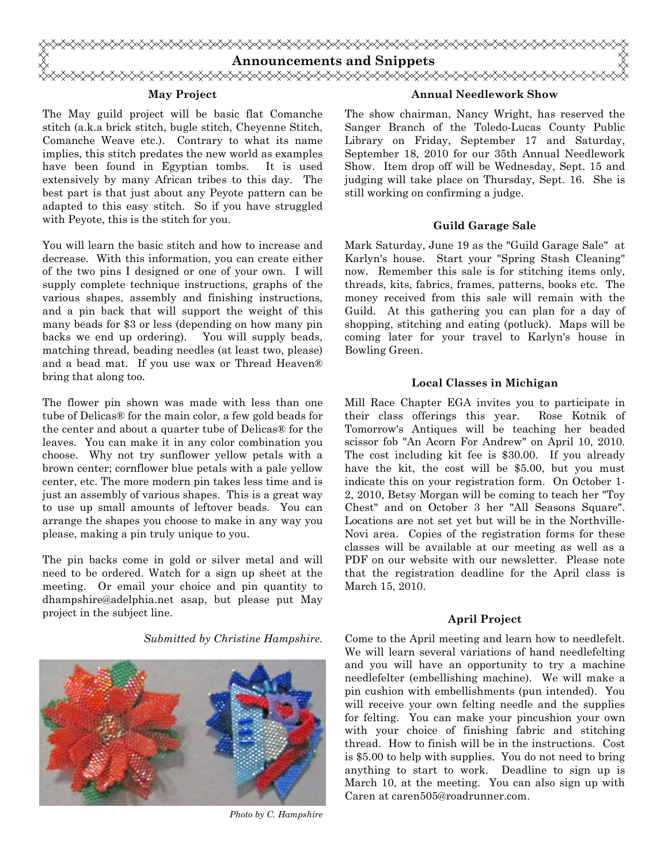

# May Project

The May guild project will be basic flat Comanche stitch (a.k.a brick stitch, bugle stitch, Cheyenne Stitch, Comanche Weave etc.). Contrary to what its name implies, this stitch predates the new world as examples have been found in Egyptian tombs. It is used extensively by many African tribes to this day. The best part is that just about any Peyote pattern can be adapted to this easy stitch. So if you have struggled with Peyote, this is the stitch for you.

You will learn the basic stitch and how to increase and decrease. With this information, you can create either of the two pins I designed or one of your own. I will supply complete technique instructions, graphs of the various shapes, assembly and finishing instructions, and a pin back that will support the weight of this many beads for \$3 or less (depending on how many pin backs we end up ordering). You will supply beads, matching thread, beading needles (at least two, please) and a bead mat. If you use wax or Thread Heaven® bring that along too.

The flower pin shown was made with less than one tube of Delicas® for the main color, a few gold beads for the center and about a quarter tube of Delicas® for the leaves. You can make it in any color combination you choose. Why not try sunflower yellow petals with a brown center; cornflower blue petals with a pale yellow center, etc. The more modern pin takes less time and is just an assembly of various shapes. This is a great way to use up small amounts of leftover beads. You can arrange the shapes you choose to make in any way you please, making a pin truly unique to you.

The pin backs come in gold or silver metal and will need to be ordered. Watch for a sign up sheet at the meeting. Or email your choice and pin quantity to dhampshire@adelphia.net asap, but please put May project in the subject line.

Submitted by Christine Hampshire.



Photo by C. Hampshire

#### Annual Needlework Show

The show chairman, Nancy Wright, has reserved the Sanger Branch of the Toledo-Lucas County Public Library on Friday, September 17 and Saturday, September 18, 2010 for our 35th Annual Needlework Show. Item drop off will be Wednesday, Sept. 15 and judging will take place on Thursday, Sept. 16. She is still working on confirming a judge.

#### Guild Garage Sale

Mark Saturday, June 19 as the "Guild Garage Sale" at Karlyn's house. Start your "Spring Stash Cleaning" now. Remember this sale is for stitching items only, threads, kits, fabrics, frames, patterns, books etc. The money received from this sale will remain with the Guild. At this gathering you can plan for a day of shopping, stitching and eating (potluck). Maps will be coming later for your travel to Karlyn's house in Bowling Green.

#### Local Classes in Michigan

Mill Race Chapter EGA invites you to participate in their class offerings this year. Rose Kotnik of Tomorrow's Antiques will be teaching her beaded scissor fob "An Acorn For Andrew" on April 10, 2010. The cost including kit fee is \$30.00. If you already have the kit, the cost will be \$5.00, but you must indicate this on your registration form. On October 1- 2, 2010, Betsy Morgan will be coming to teach her "Toy Chest" and on October 3 her "All Seasons Square". Locations are not set yet but will be in the Northville-Novi area. Copies of the registration forms for these classes will be available at our meeting as well as a PDF on our website with our newsletter. Please note that the registration deadline for the April class is March 15, 2010.

#### April Project

Come to the April meeting and learn how to needlefelt. We will learn several variations of hand needlefelting and you will have an opportunity to try a machine needlefelter (embellishing machine). We will make a pin cushion with embellishments (pun intended). You will receive your own felting needle and the supplies for felting. You can make your pincushion your own with your choice of finishing fabric and stitching thread. How to finish will be in the instructions. Cost is \$5.00 to help with supplies. You do not need to bring anything to start to work. Deadline to sign up is March 10, at the meeting. You can also sign up with Caren at caren505@roadrunner.com.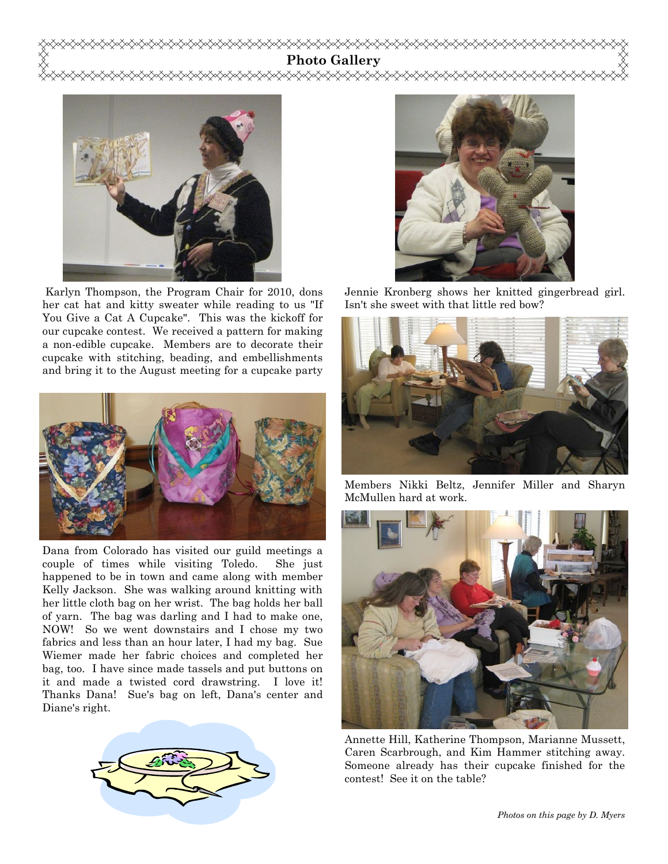# Photo Gallery ଧ≪≫≫≫



 Karlyn Thompson, the Program Chair for 2010, dons her cat hat and kitty sweater while reading to us "If You Give a Cat A Cupcake". This was the kickoff for our cupcake contest. We received a pattern for making a non-edible cupcake. Members are to decorate their cupcake with stitching, beading, and embellishments and bring it to the August meeting for a cupcake party



Dana from Colorado has visited our guild meetings a couple of times while visiting Toledo. She just happened to be in town and came along with member Kelly Jackson. She was walking around knitting with her little cloth bag on her wrist. The bag holds her ball of yarn. The bag was darling and I had to make one, NOW! So we went downstairs and I chose my two fabrics and less than an hour later, I had my bag. Sue Wiemer made her fabric choices and completed her bag, too. I have since made tassels and put buttons on it and made a twisted cord drawstring. I love it! Thanks Dana! Sue's bag on left, Dana's center and Diane's right.





Jennie Kronberg shows her knitted gingerbread girl. Isn't she sweet with that little red bow?



Members Nikki Beltz, Jennifer Miller and Sharyn McMullen hard at work.



Annette Hill, Katherine Thompson, Marianne Mussett, Caren Scarbrough, and Kim Hammer stitching away. Someone already has their cupcake finished for the contest! See it on the table?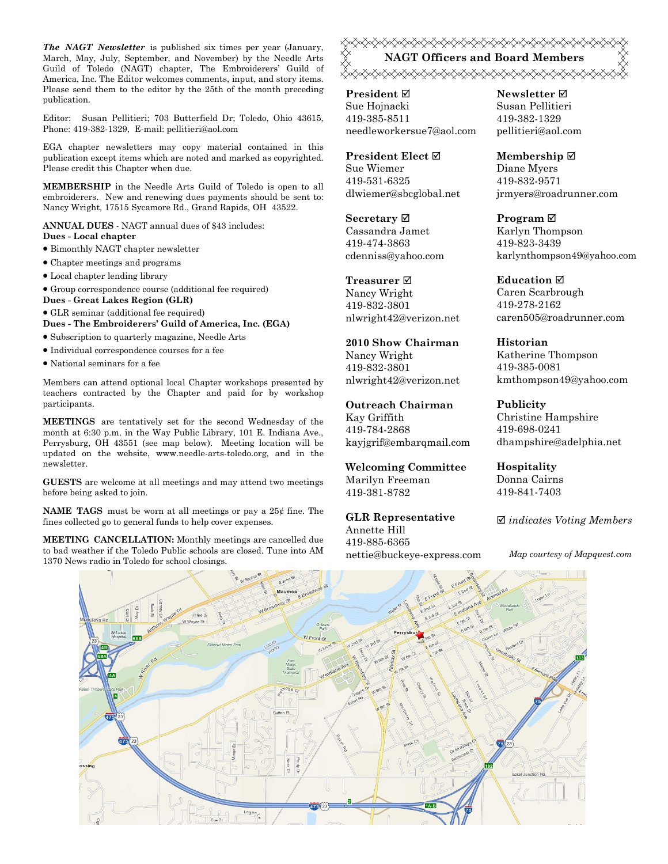The NAGT Newsletter is published six times per year (January, March, May, July, September, and November) by the Needle Arts Guild of Toledo (NAGT) chapter, The Embroiderers' Guild of America, Inc. The Editor welcomes comments, input, and story items. Please send them to the editor by the 25th of the month preceding publication.

Editor: Susan Pellitieri; 703 Butterfield Dr; Toledo, Ohio 43615, Phone: 419-382-1329, E-mail: pellitieri@aol.com

EGA chapter newsletters may copy material contained in this publication except items which are noted and marked as copyrighted. Please credit this Chapter when due.

MEMBERSHIP in the Needle Arts Guild of Toledo is open to all embroiderers. New and renewing dues payments should be sent to: Nancy Wright, 17515 Sycamore Rd., Grand Rapids, OH 43522.

ANNUAL DUES - NAGT annual dues of \$43 includes: Dues - Local chapter

- Bimonthly NAGT chapter newsletter
- Chapter meetings and programs
- Local chapter lending library
- Group correspondence course (additional fee required)
- Dues Great Lakes Region (GLR)
- GLR seminar (additional fee required)

Dues - The Embroiderers' Guild of America, Inc. (EGA)

- Subscription to quarterly magazine, Needle Arts
- Individual correspondence courses for a fee
- National seminars for a fee

Members can attend optional local Chapter workshops presented by teachers contracted by the Chapter and paid for by workshop participants.

MEETINGS are tentatively set for the second Wednesday of the month at 6:30 p.m. in the Way Public Library, 101 E. Indiana Ave., Perrysburg, OH 43551 (see map below). Meeting location will be updated on the website, www.needle-arts-toledo.org, and in the newsletter.

GUESTS are welcome at all meetings and may attend two meetings before being asked to join.

**NAME TAGS** must be worn at all meetings or pay a  $25¢$  fine. The fines collected go to general funds to help cover expenses.

MEETING CANCELLATION: Monthly meetings are cancelled due to bad weather if the Toledo Public schools are closed. Tune into AM 1370 News radio in Toledo for school closings.

<del></del> NAGT Officers and Board Members </del>

President ⊠ Sue Hojnacki 419-385-8511 needleworkersue7@aol.com

President Elect Ø Sue Wiemer 419-531-6325 dlwiemer@sbcglobal.net

Secretary  $\boxtimes$ Cassandra Jamet 419-474-3863 cdenniss@yahoo.com

Treasurer<sub> $⊓$ </sub> Nancy Wright 419-832-3801 nlwright42@verizon.net

2010 Show Chairman Nancy Wright 419-832-3801 nlwright42@verizon.net

Outreach Chairman Kay Griffith 419-784-2868 kayjgrif@embarqmail.com

Welcoming Committee Marilyn Freeman 419-381-8782

GLR Representative Annette Hill 419-885-6365 nettie@buckeye-express.com Newsletter **Ø** Susan Pellitieri 419-382-1329 pellitieri@aol.com

Membership ⊠ Diane Myers 419-832-9571 jrmyers@roadrunner.com

Program **⊠** Karlyn Thompson 419-823-3439 karlynthompson49@yahoo.com

**Education** ⊠ Caren Scarbrough 419-278-2162 caren505@roadrunner.com

Historian Katherine Thompson 419-385-0081 kmthompson49@yahoo.com

Publicity Christine Hampshire 419-698-0241 dhampshire@adelphia.net

Hospitality Donna Cairns 419-841-7403

 $\boxtimes$  indicates Voting Members

Map courtesy of Mapquest.com